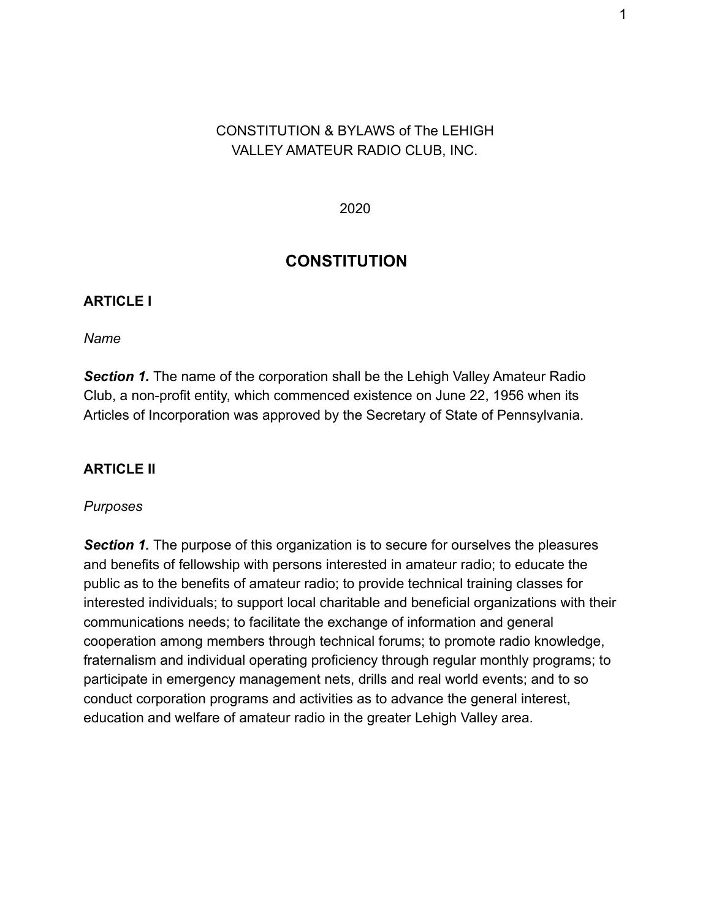# CONSTITUTION & BYLAWS of The LEHIGH VALLEY AMATEUR RADIO CLUB, INC.

2020

# **CONSTITUTION**

### **ARTICLE I**

*Name*

**Section 1.** The name of the corporation shall be the Lehigh Valley Amateur Radio Club, a non-profit entity, which commenced existence on June 22, 1956 when its Articles of Incorporation was approved by the Secretary of State of Pennsylvania.

### **ARTICLE II**

#### *Purposes*

*Section 1.* The purpose of this organization is to secure for ourselves the pleasures and benefits of fellowship with persons interested in amateur radio; to educate the public as to the benefits of amateur radio; to provide technical training classes for interested individuals; to support local charitable and beneficial organizations with their communications needs; to facilitate the exchange of information and general cooperation among members through technical forums; to promote radio knowledge, fraternalism and individual operating proficiency through regular monthly programs; to participate in emergency management nets, drills and real world events; and to so conduct corporation programs and activities as to advance the general interest, education and welfare of amateur radio in the greater Lehigh Valley area.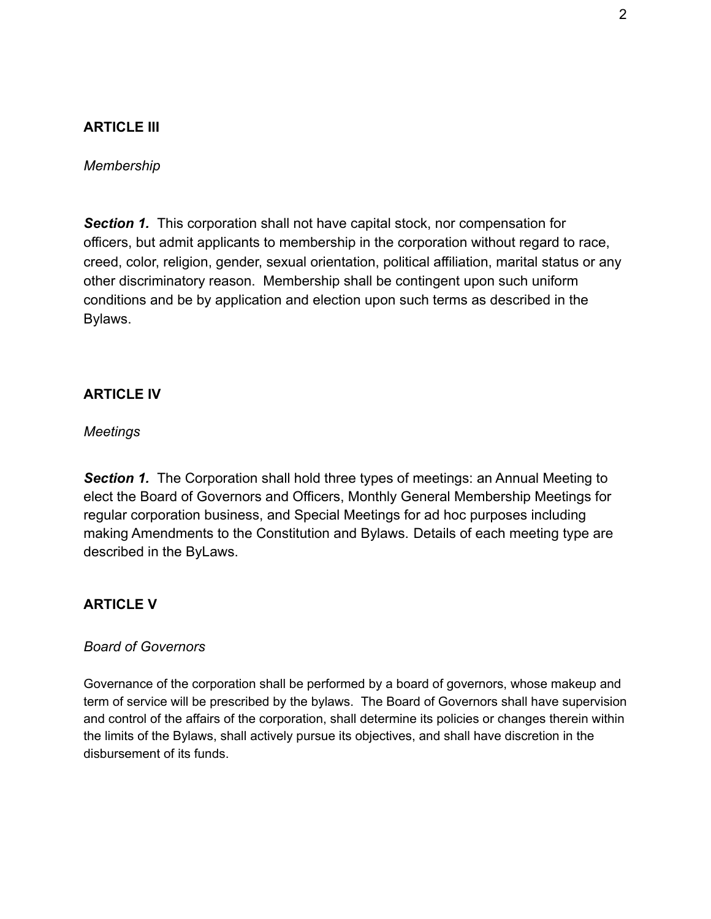## **ARTICLE III**

*Membership*

**Section 1.** This corporation shall not have capital stock, nor compensation for officers, but admit applicants to membership in the corporation without regard to race, creed, color, religion, gender, sexual orientation, political affiliation, marital status or any other discriminatory reason. Membership shall be contingent upon such uniform conditions and be by application and election upon such terms as described in the Bylaws.

#### **ARTICLE IV**

*Meetings*

**Section 1.** The Corporation shall hold three types of meetings: an Annual Meeting to elect the Board of Governors and Officers, Monthly General Membership Meetings for regular corporation business, and Special Meetings for ad hoc purposes including making Amendments to the Constitution and Bylaws. Details of each meeting type are described in the ByLaws.

### **ARTICLE V**

#### *Board of Governors*

Governance of the corporation shall be performed by a board of governors, whose makeup and term of service will be prescribed by the bylaws. The Board of Governors shall have supervision and control of the affairs of the corporation, shall determine its policies or changes therein within the limits of the Bylaws, shall actively pursue its objectives, and shall have discretion in the disbursement of its funds.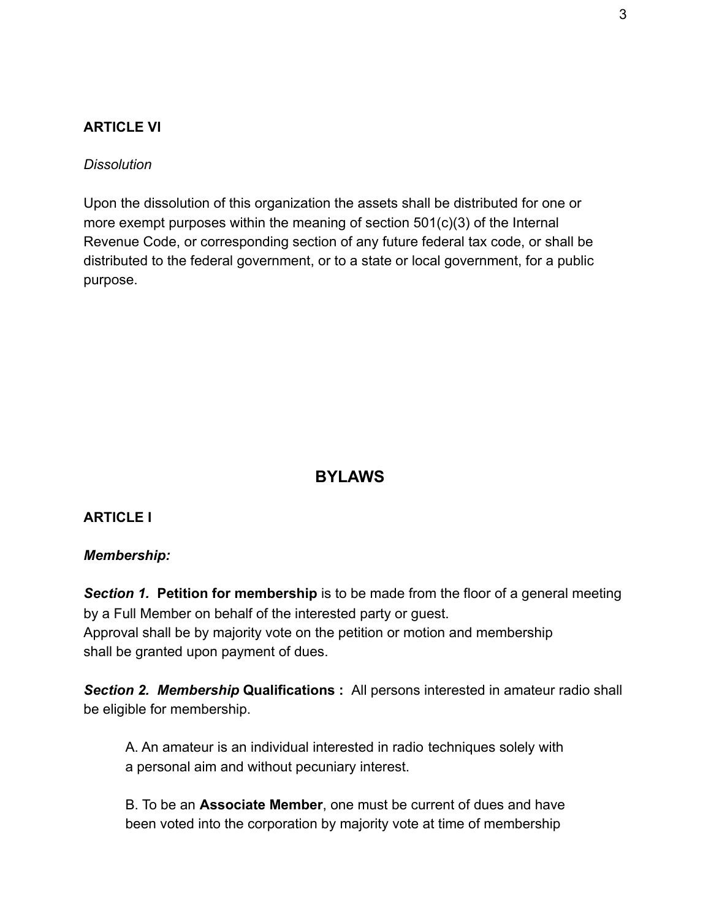### **ARTICLE VI**

#### *Dissolution*

Upon the dissolution of this organization the assets shall be distributed for one or more exempt purposes within the meaning of section 501(c)(3) of the Internal Revenue Code, or corresponding section of any future federal tax code, or shall be distributed to the federal government, or to a state or local government, for a public purpose.

# **BYLAWS**

### **ARTICLE I**

#### *Membership:*

**Section 1. Petition for membership** is to be made from the floor of a general meeting by a Full Member on behalf of the interested party or guest. Approval shall be by majority vote on the petition or motion and membership shall be granted upon payment of dues.

*Section 2. Membership* **Qualifications :** All persons interested in amateur radio shall be eligible for membership.

A. An amateur is an individual interested in radio techniques solely with a personal aim and without pecuniary interest.

B. To be an **Associate Member**, one must be current of dues and have been voted into the corporation by majority vote at time of membership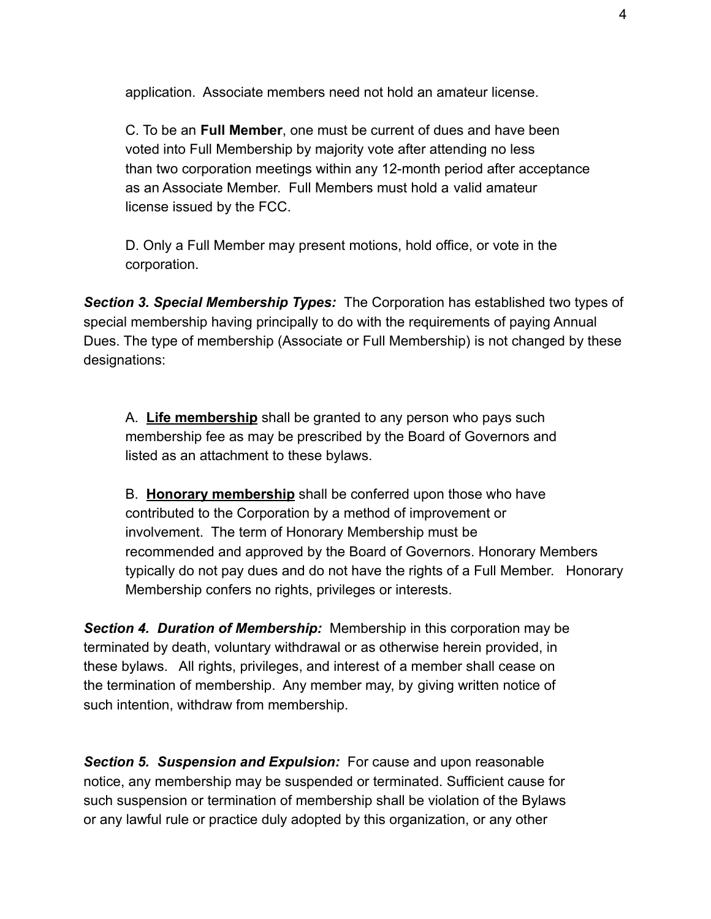application. Associate members need not hold an amateur license.

C. To be an **Full Member**, one must be current of dues and have been voted into Full Membership by majority vote after attending no less than two corporation meetings within any 12-month period after acceptance as an Associate Member. Full Members must hold a valid amateur license issued by the FCC.

D. Only a Full Member may present motions, hold office, or vote in the corporation.

*Section 3. Special Membership Types:* The Corporation has established two types of special membership having principally to do with the requirements of paying Annual Dues. The type of membership (Associate or Full Membership) is not changed by these designations:

A. **Life membership** shall be granted to any person who pays such membership fee as may be prescribed by the Board of Governors and listed as an attachment to these bylaws.

B. **Honorary membership** shall be conferred upon those who have contributed to the Corporation by a method of improvement or involvement. The term of Honorary Membership must be recommended and approved by the Board of Governors. Honorary Members typically do not pay dues and do not have the rights of a Full Member. Honorary Membership confers no rights, privileges or interests.

*Section 4. Duration of Membership:* Membership in this corporation may be terminated by death, voluntary withdrawal or as otherwise herein provided, in these bylaws. All rights, privileges, and interest of a member shall cease on the termination of membership. Any member may, by giving written notice of such intention, withdraw from membership.

*Section 5. Suspension and Expulsion:* For cause and upon reasonable notice, any membership may be suspended or terminated. Sufficient cause for such suspension or termination of membership shall be violation of the Bylaws or any lawful rule or practice duly adopted by this organization, or any other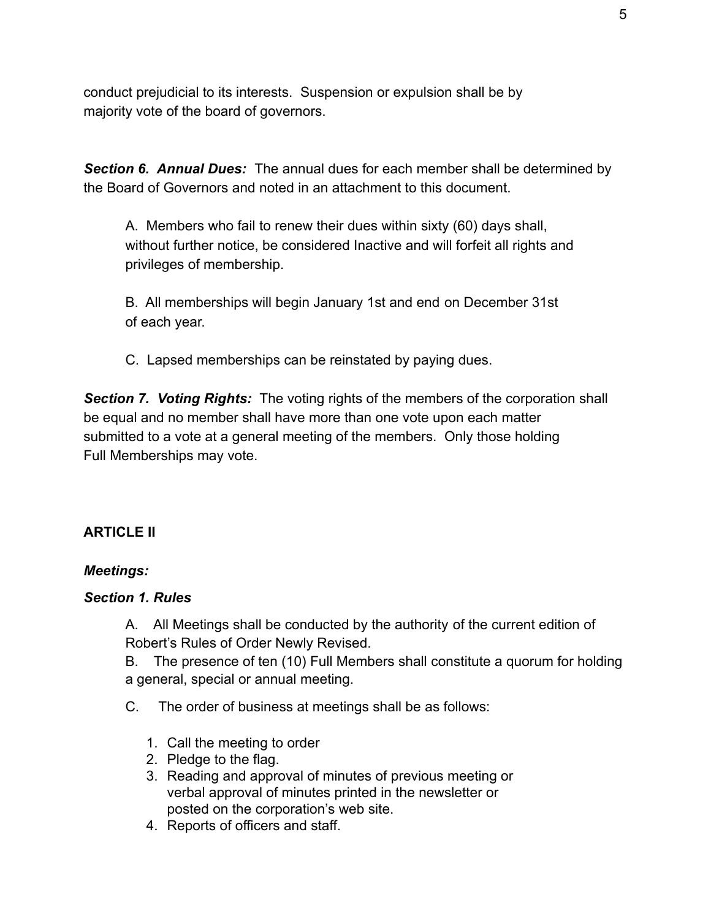conduct prejudicial to its interests. Suspension or expulsion shall be by majority vote of the board of governors.

*Section 6. Annual Dues:* The annual dues for each member shall be determined by the Board of Governors and noted in an attachment to this document.

A. Members who fail to renew their dues within sixty (60) days shall, without further notice, be considered Inactive and will forfeit all rights and privileges of membership.

B. All memberships will begin January 1st and end on December 31st of each year.

C. Lapsed memberships can be reinstated by paying dues.

*Section 7. Voting Rights:* The voting rights of the members of the corporation shall be equal and no member shall have more than one vote upon each matter submitted to a vote at a general meeting of the members. Only those holding Full Memberships may vote.

# **ARTICLE II**

## *Meetings:*

### *Section 1. Rules*

A. All Meetings shall be conducted by the authority of the current edition of Robert's Rules of Order Newly Revised.

B. The presence of ten (10) Full Members shall constitute a quorum for holding a general, special or annual meeting.

C. The order of business at meetings shall be as follows:

- 1. Call the meeting to order
- 2. Pledge to the flag.
- 3. Reading and approval of minutes of previous meeting or verbal approval of minutes printed in the newsletter or posted on the corporation's web site.
- 4. Reports of officers and staff.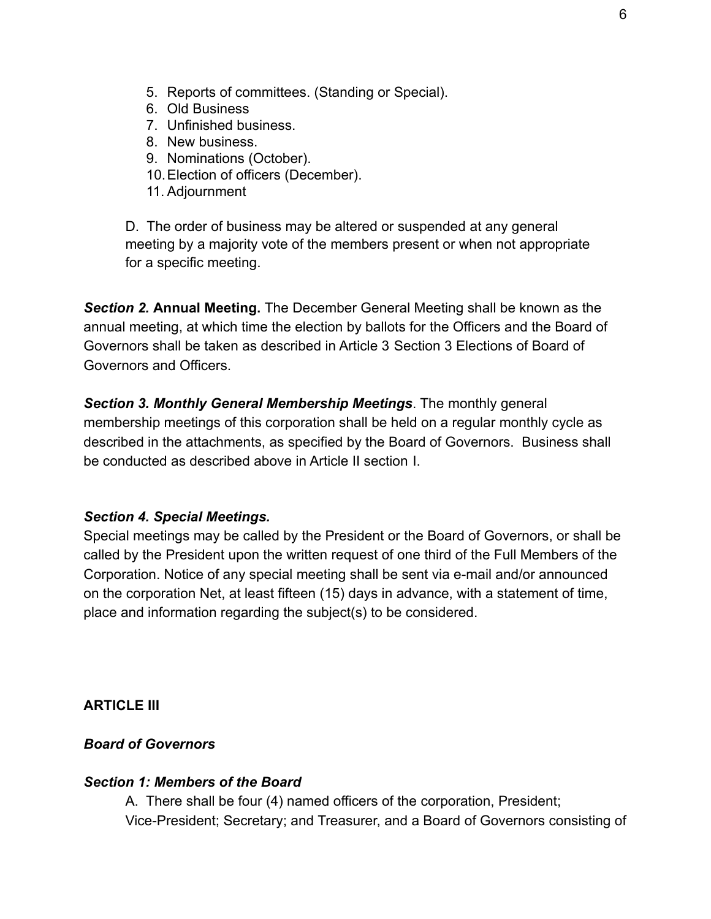- 5. Reports of committees. (Standing or Special).
- 6. Old Business
- 7. Unfinished business.
- 8. New business.
- 9. Nominations (October).
- 10.Election of officers (December).
- 11. Adjournment

D. The order of business may be altered or suspended at any general meeting by a majority vote of the members present or when not appropriate for a specific meeting.

*Section 2.* **Annual Meeting.** The December General Meeting shall be known as the annual meeting, at which time the election by ballots for the Officers and the Board of Governors shall be taken as described in Article 3 Section 3 Elections of Board of Governors and Officers.

*Section 3. Monthly General Membership Meetings*. The monthly general membership meetings of this corporation shall be held on a regular monthly cycle as described in the attachments, as specified by the Board of Governors. Business shall be conducted as described above in Article II section I.

### *Section 4. Special Meetings.*

Special meetings may be called by the President or the Board of Governors, or shall be called by the President upon the written request of one third of the Full Members of the Corporation. Notice of any special meeting shall be sent via e-mail and/or announced on the corporation Net, at least fifteen (15) days in advance, with a statement of time, place and information regarding the subject(s) to be considered.

**ARTICI F III** 

#### *Board of Governors*

#### *Section 1: Members of the Board*

A. There shall be four (4) named officers of the corporation, President; Vice-President; Secretary; and Treasurer, and a Board of Governors consisting of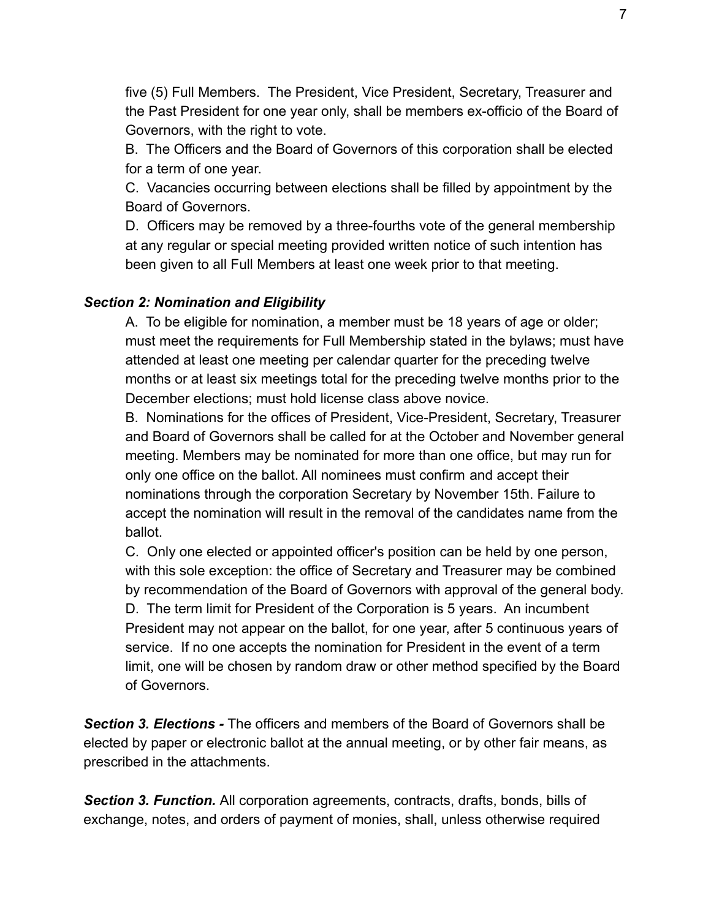five (5) Full Members. The President, Vice President, Secretary, Treasurer and the Past President for one year only, shall be members ex-officio of the Board of Governors, with the right to vote.

B. The Officers and the Board of Governors of this corporation shall be elected for a term of one year.

C. Vacancies occurring between elections shall be filled by appointment by the Board of Governors.

D. Officers may be removed by a three-fourths vote of the general membership at any regular or special meeting provided written notice of such intention has been given to all Full Members at least one week prior to that meeting.

## *Section 2: Nomination and Eligibility*

A. To be eligible for nomination, a member must be 18 years of age or older; must meet the requirements for Full Membership stated in the bylaws; must have attended at least one meeting per calendar quarter for the preceding twelve months or at least six meetings total for the preceding twelve months prior to the December elections; must hold license class above novice.

B. Nominations for the offices of President, Vice-President, Secretary, Treasurer and Board of Governors shall be called for at the October and November general meeting. Members may be nominated for more than one office, but may run for only one office on the ballot. All nominees must confirm and accept their nominations through the corporation Secretary by November 15th. Failure to accept the nomination will result in the removal of the candidates name from the ballot.

C. Only one elected or appointed officer's position can be held by one person, with this sole exception: the office of Secretary and Treasurer may be combined by recommendation of the Board of Governors with approval of the general body. D. The term limit for President of the Corporation is 5 years. An incumbent President may not appear on the ballot, for one year, after 5 continuous years of service. If no one accepts the nomination for President in the event of a term limit, one will be chosen by random draw or other method specified by the Board of Governors.

*Section 3. Elections -* The officers and members of the Board of Governors shall be elected by paper or electronic ballot at the annual meeting, or by other fair means, as prescribed in the attachments.

*Section 3. Function.* All corporation agreements, contracts, drafts, bonds, bills of exchange, notes, and orders of payment of monies, shall, unless otherwise required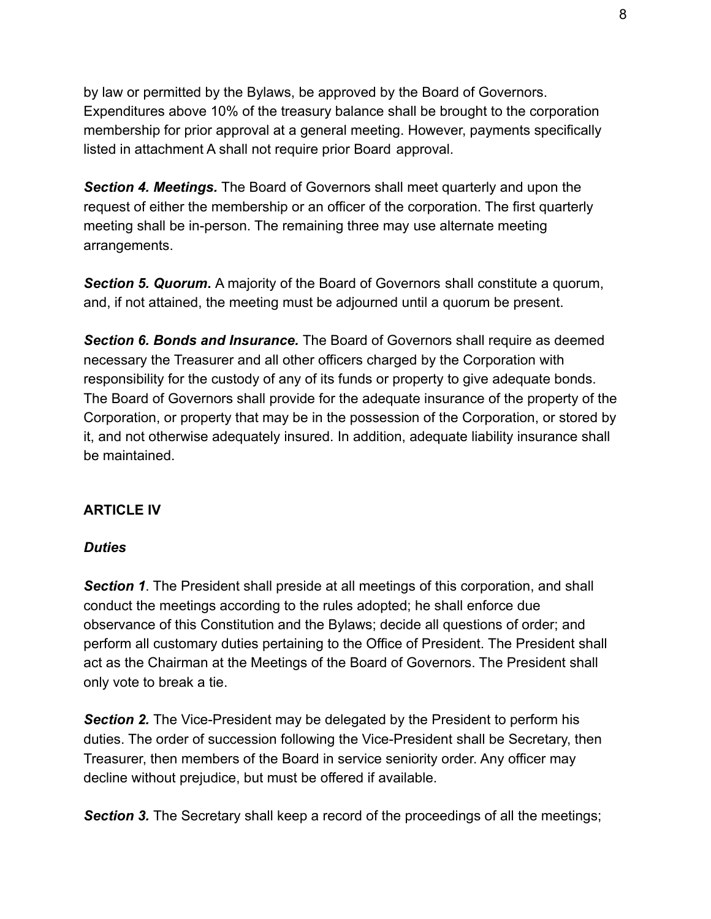by law or permitted by the Bylaws, be approved by the Board of Governors. Expenditures above 10% of the treasury balance shall be brought to the corporation membership for prior approval at a general meeting. However, payments specifically listed in attachment A shall not require prior Board approval.

*Section 4. Meetings.* The Board of Governors shall meet quarterly and upon the request of either the membership or an officer of the corporation. The first quarterly meeting shall be in-person. The remaining three may use alternate meeting arrangements.

*Section 5. Quorum***.** A majority of the Board of Governors shall constitute a quorum, and, if not attained, the meeting must be adjourned until a quorum be present.

*Section 6. Bonds and Insurance.* The Board of Governors shall require as deemed necessary the Treasurer and all other officers charged by the Corporation with responsibility for the custody of any of its funds or property to give adequate bonds. The Board of Governors shall provide for the adequate insurance of the property of the Corporation, or property that may be in the possession of the Corporation, or stored by it, and not otherwise adequately insured. In addition, adequate liability insurance shall be maintained.

## **ARTICLE IV**

### *Duties*

**Section 1.** The President shall preside at all meetings of this corporation, and shall conduct the meetings according to the rules adopted; he shall enforce due observance of this Constitution and the Bylaws; decide all questions of order; and perform all customary duties pertaining to the Office of President. The President shall act as the Chairman at the Meetings of the Board of Governors. The President shall only vote to break a tie.

**Section 2.** The Vice-President may be delegated by the President to perform his duties. The order of succession following the Vice-President shall be Secretary, then Treasurer, then members of the Board in service seniority order. Any officer may decline without prejudice, but must be offered if available.

**Section 3.** The Secretary shall keep a record of the proceedings of all the meetings;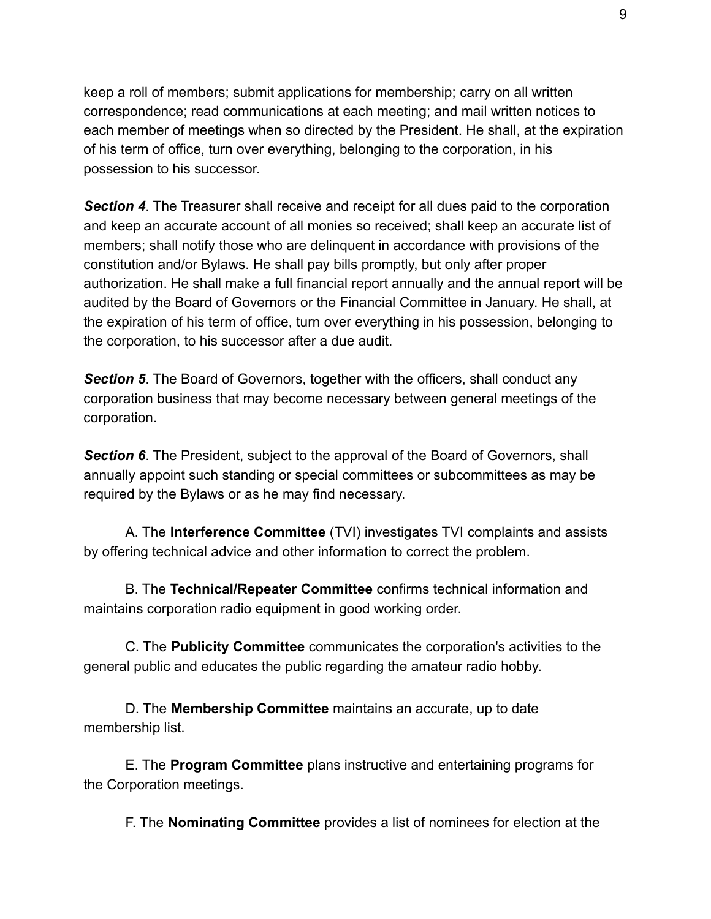keep a roll of members; submit applications for membership; carry on all written correspondence; read communications at each meeting; and mail written notices to each member of meetings when so directed by the President. He shall, at the expiration of his term of office, turn over everything, belonging to the corporation, in his possession to his successor.

*Section 4*. The Treasurer shall receive and receipt for all dues paid to the corporation and keep an accurate account of all monies so received; shall keep an accurate list of members; shall notify those who are delinquent in accordance with provisions of the constitution and/or Bylaws. He shall pay bills promptly, but only after proper authorization. He shall make a full financial report annually and the annual report will be audited by the Board of Governors or the Financial Committee in January. He shall, at the expiration of his term of office, turn over everything in his possession, belonging to the corporation, to his successor after a due audit.

*Section 5*. The Board of Governors, together with the officers, shall conduct any corporation business that may become necessary between general meetings of the corporation.

**Section 6**. The President, subject to the approval of the Board of Governors, shall annually appoint such standing or special committees or subcommittees as may be required by the Bylaws or as he may find necessary.

A. The **Interference Committee** (TVI) investigates TVI complaints and assists by offering technical advice and other information to correct the problem.

B. The **Technical/Repeater Committee** confirms technical information and maintains corporation radio equipment in good working order.

C. The **Publicity Committee** communicates the corporation's activities to the general public and educates the public regarding the amateur radio hobby.

D. The **Membership Committee** maintains an accurate, up to date membership list.

E. The **Program Committee** plans instructive and entertaining programs for the Corporation meetings.

F. The **Nominating Committee** provides a list of nominees for election at the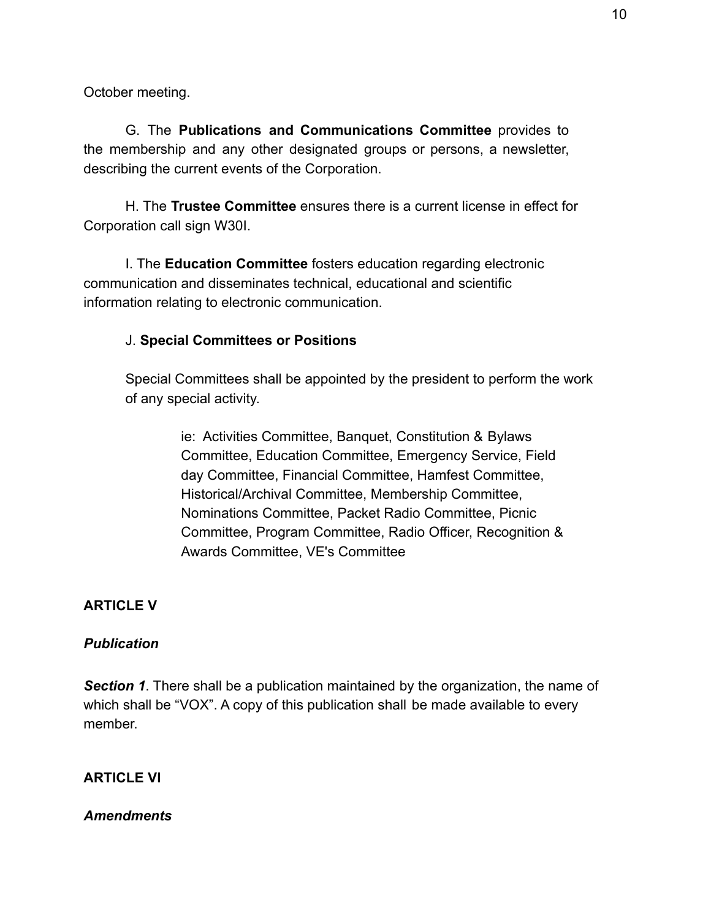October meeting.

G. The **Publications and Communications Committee** provides to the membership and any other designated groups or persons, a newsletter, describing the current events of the Corporation.

H. The **Trustee Committee** ensures there is a current license in effect for Corporation call sign W30I.

I. The **Education Committee** fosters education regarding electronic communication and disseminates technical, educational and scientific information relating to electronic communication.

### J. **Special Committees or Positions**

Special Committees shall be appointed by the president to perform the work of any special activity.

> ie: Activities Committee, Banquet, Constitution & Bylaws Committee, Education Committee, Emergency Service, Field day Committee, Financial Committee, Hamfest Committee, Historical/Archival Committee, Membership Committee, Nominations Committee, Packet Radio Committee, Picnic Committee, Program Committee, Radio Officer, Recognition & Awards Committee, VE's Committee

### **ARTICLE V**

#### *Publication*

*Section 1*. There shall be a publication maintained by the organization, the name of which shall be "VOX". A copy of this publication shall be made available to every member.

### **ARTICLE VI**

#### *Amendments*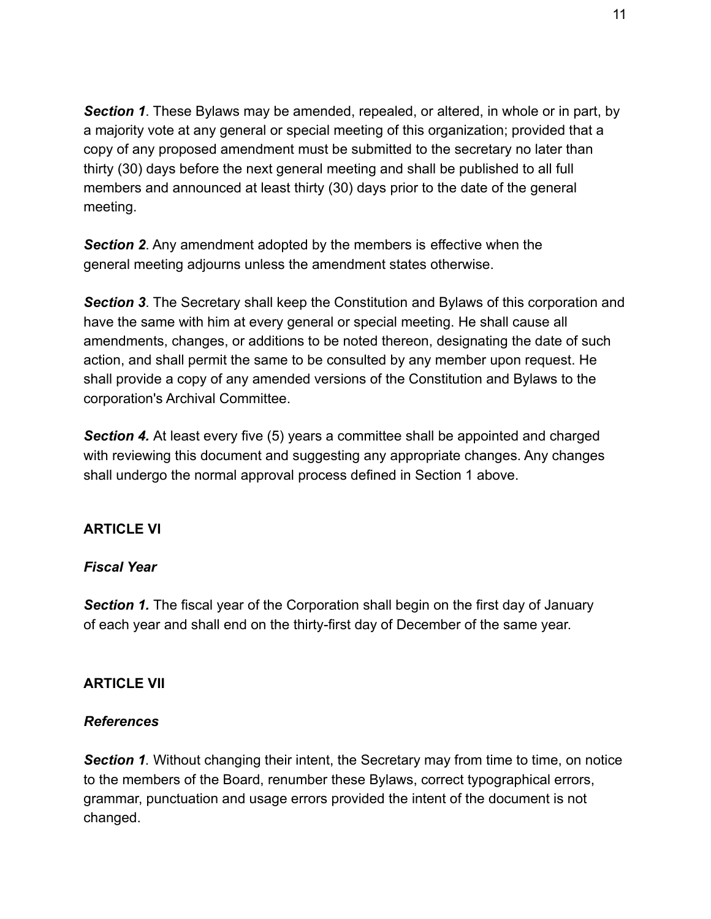*Section 1*. These Bylaws may be amended, repealed, or altered, in whole or in part, by a majority vote at any general or special meeting of this organization; provided that a copy of any proposed amendment must be submitted to the secretary no later than thirty (30) days before the next general meeting and shall be published to all full members and announced at least thirty (30) days prior to the date of the general meeting.

*Section 2*. Any amendment adopted by the members is effective when the general meeting adjourns unless the amendment states otherwise.

*Section 3*. The Secretary shall keep the Constitution and Bylaws of this corporation and have the same with him at every general or special meeting. He shall cause all amendments, changes, or additions to be noted thereon, designating the date of such action, and shall permit the same to be consulted by any member upon request. He shall provide a copy of any amended versions of the Constitution and Bylaws to the corporation's Archival Committee.

**Section 4.** At least every five (5) years a committee shall be appointed and charged with reviewing this document and suggesting any appropriate changes. Any changes shall undergo the normal approval process defined in Section 1 above.

## **ARTICLE VI**

## *Fiscal Year*

**Section 1.** The fiscal year of the Corporation shall begin on the first day of January of each year and shall end on the thirty-first day of December of the same year.

### **ARTICLE VII**

### *References*

**Section 1**. Without changing their intent, the Secretary may from time to time, on notice to the members of the Board, renumber these Bylaws, correct typographical errors, grammar, punctuation and usage errors provided the intent of the document is not changed.